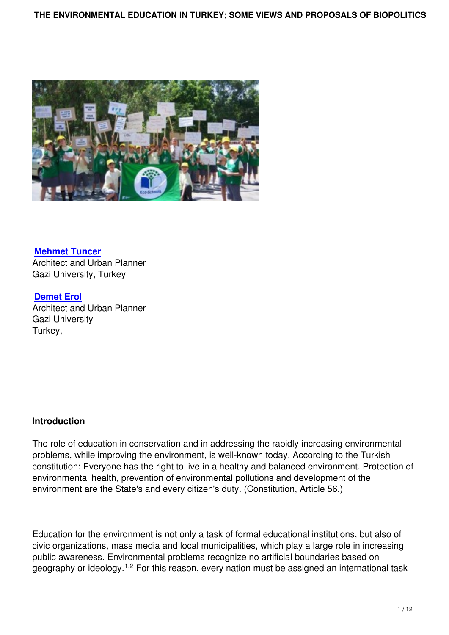

**Mehmet Tuncer** Architect and Urban Planner Gazi University, Turkey

**[Demet Erol](http://www.blogger.com/profile/07194472410061440431)** Architect and Urban Planner Gazi University [Turkey,](http://websitem.gazi.edu.tr/site/edemet) 

## **Introduction**

The role of education in conservation and in addressing the rapidly increasing environmental problems, while improving the environment, is well-known today. According to the Turkish constitution: Everyone has the right to live in a healthy and balanced environment. Protection of environmental health, prevention of environmental pollutions and development of the environment are the State's and every citizen's duty. (Constitution, Article 56.)

Education for the environment is not only a task of formal educational institutions, but also of civic organizations, mass media and local municipalities, which play a large role in increasing public awareness. Environmental problems recognize no artificial boundaries based on geography or ideology.<sup>1,2</sup> For this reason, every nation must be assigned an international task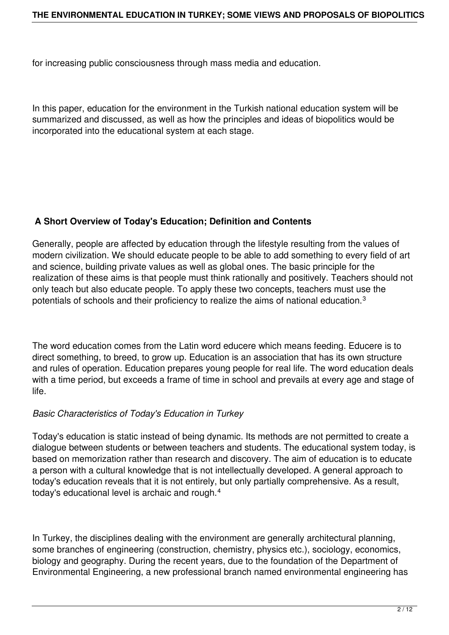for increasing public consciousness through mass media and education.

In this paper, education for the environment in the Turkish national education system will be summarized and discussed, as well as how the principles and ideas of biopolitics would be incorporated into the educational system at each stage.

# **A Short Overview of Today's Education; Definition and Contents**

Generally, people are affected by education through the lifestyle resulting from the values of modern civilization. We should educate people to be able to add something to every field of art and science, building private values as well as global ones. The basic principle for the realization of these aims is that people must think rationally and positively. Teachers should not only teach but also educate people. To apply these two concepts, teachers must use the potentials of schools and their proficiency to realize the aims of national education.<sup>3</sup>

The word education comes from the Latin word educere which means feeding. Educere is to direct something, to breed, to grow up. Education is an association that has its own structure and rules of operation. Education prepares young people for real life. The word education deals with a time period, but exceeds a frame of time in school and prevails at every age and stage of life.

## *Basic Characteristics of Today's Education in Turkey*

Today's education is static instead of being dynamic. Its methods are not permitted to create a dialogue between students or between teachers and students. The educational system today, is based on memorization rather than research and discovery. The aim of education is to educate a person with a cultural knowledge that is not intellectually developed. A general approach to today's education reveals that it is not entirely, but only partially comprehensive. As a result, today's educational level is archaic and rough.<sup>4</sup>

In Turkey, the disciplines dealing with the environment are generally architectural planning, some branches of engineering (construction, chemistry, physics etc.), sociology, economics, biology and geography. During the recent years, due to the foundation of the Department of Environmental Engineering, a new professional branch named environmental engineering has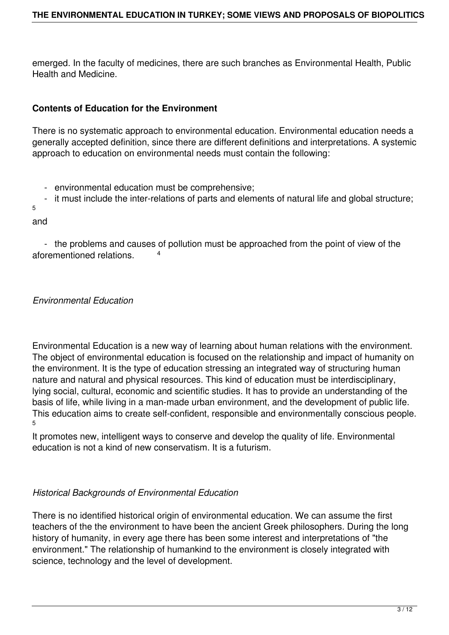emerged. In the faculty of medicines, there are such branches as Environmental Health, Public Health and Medicine.

# **Contents of Education for the Environment**

There is no systematic approach to environmental education. Environmental education needs a generally accepted definition, since there are different definitions and interpretations. A systemic approach to education on environmental needs must contain the following:

- environmental education must be comprehensive;
- it must include the inter-relations of parts and elements of natural life and global structure;

5

and

 - the problems and causes of pollution must be approached from the point of view of the aforementioned relations. <sup>4</sup>

*Environmental Education*

Environmental Education is a new way of learning about human relations with the environment. The object of environmental education is focused on the relationship and impact of humanity on the environment. It is the type of education stressing an integrated way of structuring human nature and natural and physical resources. This kind of education must be interdisciplinary, lying social, cultural, economic and scientific studies. It has to provide an understanding of the basis of life, while living in a man-made urban environment, and the development of public life. This education aims to create self-confident, responsible and environmentally conscious people. 5

It promotes new, intelligent ways to conserve and develop the quality of life. Environmental education is not a kind of new conservatism. It is a futurism.

## *Historical Backgrounds of Environmental Education*

There is no identified historical origin of environmental education. We can assume the first teachers of the the environment to have been the ancient Greek philosophers. During the long history of humanity, in every age there has been some interest and interpretations of "the environment." The relationship of humankind to the environment is closely integrated with science, technology and the level of development.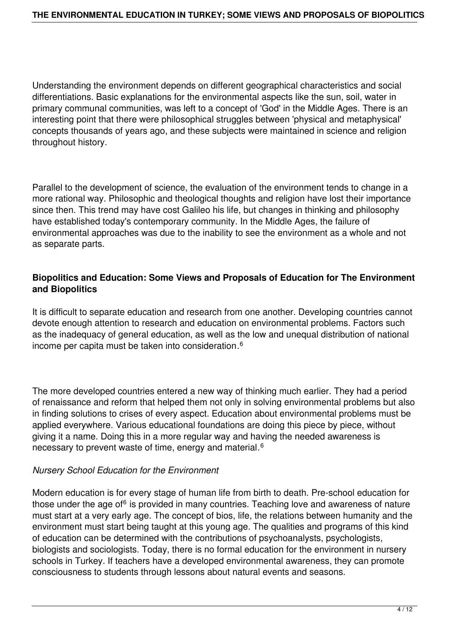Understanding the environment depends on different geographical characteristics and social differentiations. Basic explanations for the environmental aspects like the sun, soil, water in primary communal communities, was left to a concept of 'God' in the Middle Ages. There is an interesting point that there were philosophical struggles between 'physical and metaphysical' concepts thousands of years ago, and these subjects were maintained in science and religion throughout history.

Parallel to the development of science, the evaluation of the environment tends to change in a more rational way. Philosophic and theological thoughts and religion have lost their importance since then. This trend may have cost Galileo his life, but changes in thinking and philosophy have established today's contemporary community. In the Middle Ages, the failure of environmental approaches was due to the inability to see the environment as a whole and not as separate parts.

## **Biopolitics and Education: Some Views and Proposals of Education for The Environment and Biopolitics**

It is difficult to separate education and research from one another. Developing countries cannot devote enough attention to research and education on environmental problems. Factors such as the inadequacy of general education, as well as the low and unequal distribution of national income per capita must be taken into consideration*.* 6

The more developed countries entered a new way of thinking much earlier. They had a period of renaissance and reform that helped them not only in solving environmental problems but also in finding solutions to crises of every aspect. Education about environmental problems must be applied everywhere. Various educational foundations are doing this piece by piece, without giving it a name. Doing this in a more regular way and having the needed awareness is necessary to prevent waste of time, energy and material. $^6$ 

## *Nursery School Education for the Environment*

Modern education is for every stage of human life from birth to death. Pre-school education for those under the age of<sup>6</sup> is provided in many countries. Teaching love and awareness of nature must start at a very early age. The concept of bios, life, the relations between humanity and the environment must start being taught at this young age. The qualities and programs of this kind of education can be determined with the contributions of psychoanalysts, psychologists, biologists and sociologists. Today, there is no formal education for the environment in nursery schools in Turkey. If teachers have a developed environmental awareness, they can promote consciousness to students through lessons about natural events and seasons.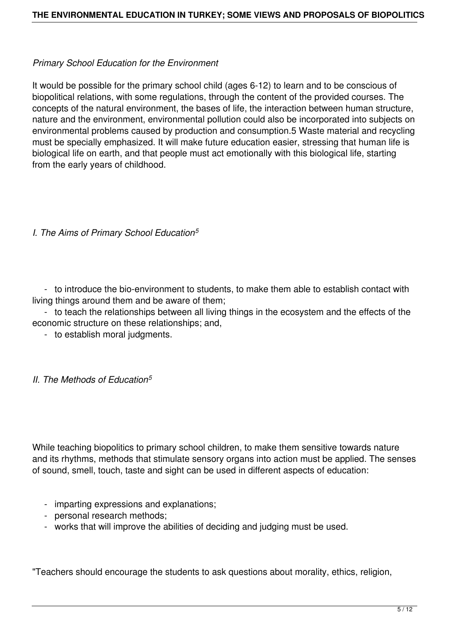### *Primary School Education for the Environment*

It would be possible for the primary school child (ages 6-12) to learn and to be conscious of biopolitical relations, with some regulations, through the content of the provided courses. The concepts of the natural environment, the bases of life, the interaction between human structure, nature and the environment, environmental pollution could also be incorporated into subjects on environmental problems caused by production and consumption.5 Waste material and recycling must be specially emphasized. It will make future education easier, stressing that human life is biological life on earth, and that people must act emotionally with this biological life, starting from the early years of childhood.

## *I. The Aims of Primary School Education<sup>5</sup>*

 - to introduce the bio-environment to students, to make them able to establish contact with living things around them and be aware of them;

 - to teach the relationships between all living things in the ecosystem and the effects of the economic structure on these relationships; and,

- to establish moral judgments.

#### *II. The Methods of Education<sup>5</sup>*

While teaching biopolitics to primary school children, to make them sensitive towards nature and its rhythms, methods that stimulate sensory organs into action must be applied. The senses of sound, smell, touch, taste and sight can be used in different aspects of education:

- imparting expressions and explanations;
- personal research methods;
- works that will improve the abilities of deciding and judging must be used.

"Teachers should encourage the students to ask questions about morality, ethics, religion,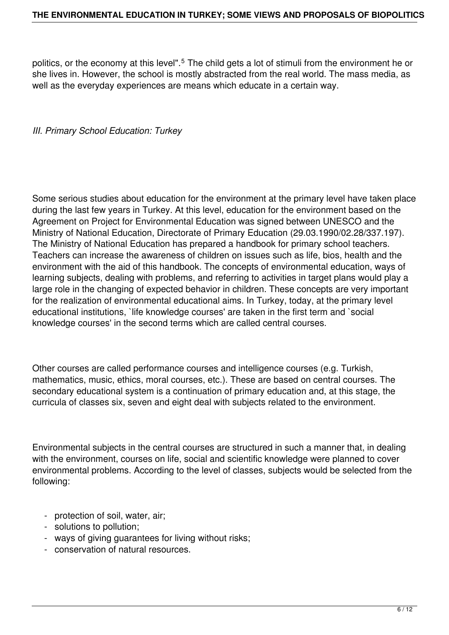#### **THE ENVIRONMENTAL EDUCATION IN TURKEY; SOME VIEWS AND PROPOSALS OF BIOPOLITICS**

politics, or the economy at this level".<sup>5</sup> The child gets a lot of stimuli from the environment he or she lives in. However, the school is mostly abstracted from the real world. The mass media, as well as the everyday experiences are means which educate in a certain way.

#### *III. Primary School Education: Turkey*

Some serious studies about education for the environment at the primary level have taken place during the last few years in Turkey. At this level, education for the environment based on the Agreement on Project for Environmental Education was signed between UNESCO and the Ministry of National Education, Directorate of Primary Education (29.03.1990/02.28/337.197). The Ministry of National Education has prepared a handbook for primary school teachers. Teachers can increase the awareness of children on issues such as life, bios, health and the environment with the aid of this handbook. The concepts of environmental education, ways of learning subjects, dealing with problems, and referring to activities in target plans would play a large role in the changing of expected behavior in children. These concepts are very important for the realization of environmental educational aims. In Turkey, today, at the primary level educational institutions, `life knowledge courses' are taken in the first term and `social knowledge courses' in the second terms which are called central courses.

Other courses are called performance courses and intelligence courses (e.g. Turkish, mathematics, music, ethics, moral courses, etc.). These are based on central courses. The secondary educational system is a continuation of primary education and, at this stage, the curricula of classes six, seven and eight deal with subjects related to the environment.

Environmental subjects in the central courses are structured in such a manner that, in dealing with the environment, courses on life, social and scientific knowledge were planned to cover environmental problems. According to the level of classes, subjects would be selected from the following:

- protection of soil, water, air;
- solutions to pollution;
- ways of giving guarantees for living without risks;
- conservation of natural resources.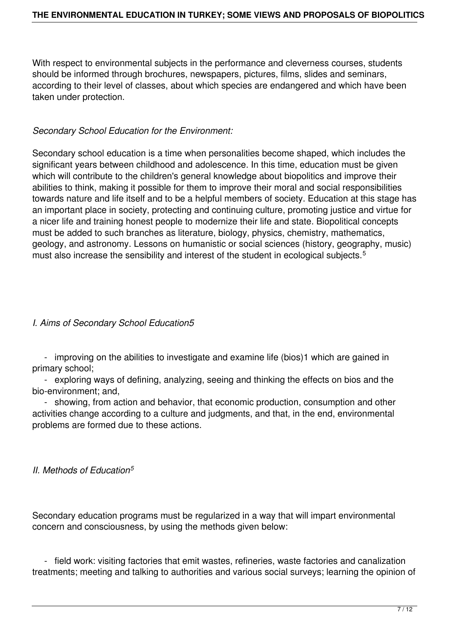With respect to environmental subjects in the performance and cleverness courses, students should be informed through brochures, newspapers, pictures, films, slides and seminars, according to their level of classes, about which species are endangered and which have been taken under protection.

### *Secondary School Education for the Environment:*

Secondary school education is a time when personalities become shaped, which includes the significant years between childhood and adolescence. In this time, education must be given which will contribute to the children's general knowledge about biopolitics and improve their abilities to think, making it possible for them to improve their moral and social responsibilities towards nature and life itself and to be a helpful members of society. Education at this stage has an important place in society, protecting and continuing culture, promoting justice and virtue for a nicer life and training honest people to modernize their life and state. Biopolitical concepts must be added to such branches as literature, biology, physics, chemistry, mathematics, geology, and astronomy. Lessons on humanistic or social sciences (history, geography, music) must also increase the sensibility and interest of the student in ecological subjects.<sup>5</sup>

## *I. Aims of Secondary School Education5*

 - improving on the abilities to investigate and examine life (bios)1 which are gained in primary school;

 - exploring ways of defining, analyzing, seeing and thinking the effects on bios and the bio-environment; and,

 - showing, from action and behavior, that economic production, consumption and other activities change according to a culture and judgments, and that, in the end, environmental problems are formed due to these actions.

## *II. Methods of Education<sup>5</sup>*

Secondary education programs must be regularized in a way that will impart environmental concern and consciousness, by using the methods given below:

 - field work: visiting factories that emit wastes, refineries, waste factories and canalization treatments; meeting and talking to authorities and various social surveys; learning the opinion of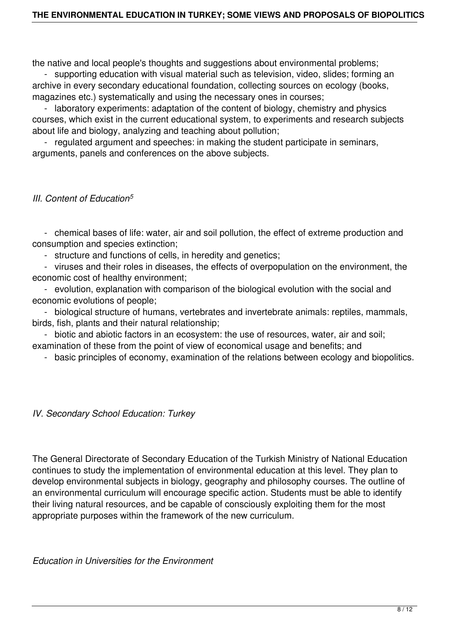the native and local people's thoughts and suggestions about environmental problems;

 - supporting education with visual material such as television, video, slides; forming an archive in every secondary educational foundation, collecting sources on ecology (books, magazines etc.) systematically and using the necessary ones in courses;

 - laboratory experiments: adaptation of the content of biology, chemistry and physics courses, which exist in the current educational system, to experiments and research subjects about life and biology, analyzing and teaching about pollution;

 - regulated argument and speeches: in making the student participate in seminars, arguments, panels and conferences on the above subjects.

## *III. Content of Education<sup>5</sup>*

 - chemical bases of life: water, air and soil pollution, the effect of extreme production and consumption and species extinction;

- structure and functions of cells, in heredity and genetics;

 - viruses and their roles in diseases, the effects of overpopulation on the environment, the economic cost of healthy environment;

 - evolution, explanation with comparison of the biological evolution with the social and economic evolutions of people;

 - biological structure of humans, vertebrates and invertebrate animals: reptiles, mammals, birds, fish, plants and their natural relationship;

 - biotic and abiotic factors in an ecosystem: the use of resources, water, air and soil; examination of these from the point of view of economical usage and benefits; and

- basic principles of economy, examination of the relations between ecology and biopolitics.

## *IV. Secondary School Education: Turkey*

The General Directorate of Secondary Education of the Turkish Ministry of National Education continues to study the implementation of environmental education at this level. They plan to develop environmental subjects in biology, geography and philosophy courses. The outline of an environmental curriculum will encourage specific action. Students must be able to identify their living natural resources, and be capable of consciously exploiting them for the most appropriate purposes within the framework of the new curriculum.

*Education in Universities for the Environment*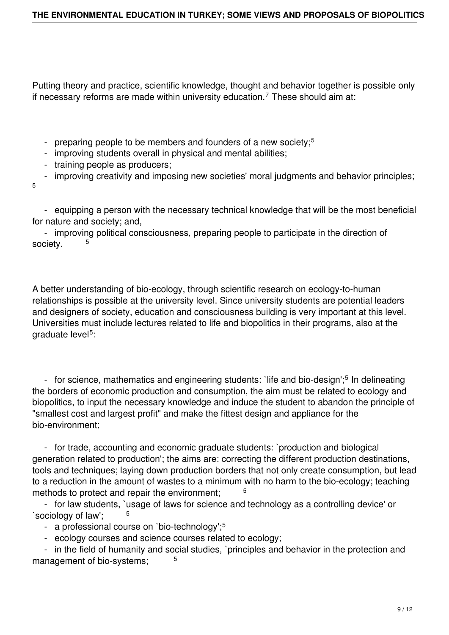Putting theory and practice, scientific knowledge, thought and behavior together is possible only if necessary reforms are made within university education.<sup>7</sup> These should aim at:

- preparing people to be members and founders of a new society;<sup>5</sup>
- improving students overall in physical and mental abilities;
- training people as producers;

 - improving creativity and imposing new societies' moral judgments and behavior principles; 5

 - equipping a person with the necessary technical knowledge that will be the most beneficial for nature and society; and,

 - improving political consciousness, preparing people to participate in the direction of society.

A better understanding of bio-ecology, through scientific research on ecology-to-human relationships is possible at the university level. Since university students are potential leaders and designers of society, education and consciousness building is very important at this level. Universities must include lectures related to life and biopolitics in their programs, also at the graduate level<sup>5</sup>:

- for science, mathematics and engineering students: `life and bio-design';<sup>5</sup> In delineating the borders of economic production and consumption, the aim must be related to ecology and biopolitics, to input the necessary knowledge and induce the student to abandon the principle of "smallest cost and largest profit" and make the fittest design and appliance for the bio-environment;

 - for trade, accounting and economic graduate students: `production and biological generation related to production'; the aims are: correcting the different production destinations, tools and techniques; laying down production borders that not only create consumption, but lead to a reduction in the amount of wastes to a minimum with no harm to the bio-ecology; teaching methods to protect and repair the environment;

 - for law students, `usage of laws for science and technology as a controlling device' or `sociology of law';

- a professional course on `bio-technology';<sup>5</sup>
- ecology courses and science courses related to ecology;

 - in the field of humanity and social studies, `principles and behavior in the protection and management of bio-systems: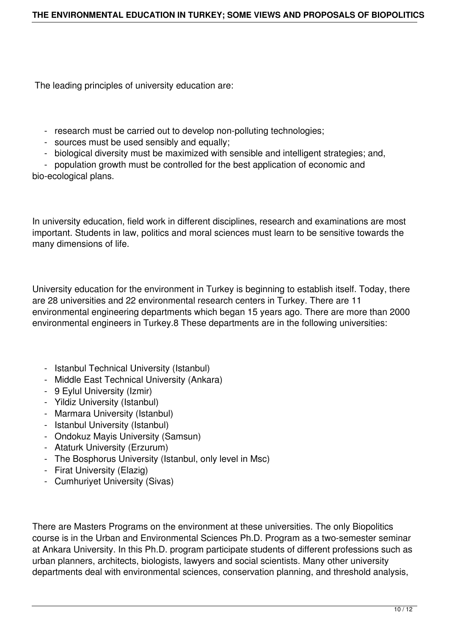The leading principles of university education are:

- research must be carried out to develop non-polluting technologies;
- sources must be used sensibly and equally;
- biological diversity must be maximized with sensible and intelligent strategies; and,

 - population growth must be controlled for the best application of economic and bio-ecological plans.

In university education, field work in different disciplines, research and examinations are most important. Students in law, politics and moral sciences must learn to be sensitive towards the many dimensions of life.

University education for the environment in Turkey is beginning to establish itself. Today, there are 28 universities and 22 environmental research centers in Turkey. There are 11 environmental engineering departments which began 15 years ago. There are more than 2000 environmental engineers in Turkey.8 These departments are in the following universities:

- Istanbul Technical University (Istanbul)
- Middle East Technical University (Ankara)
- 9 Eylul University (Izmir)
- Yildiz University (Istanbul)
- Marmara University (Istanbul)
- Istanbul University (Istanbul)
- Ondokuz Mayis University (Samsun)
- Ataturk University (Erzurum)
- The Bosphorus University (Istanbul, only level in Msc)
- Firat University (Elazig)
- Cumhuriyet University (Sivas)

There are Masters Programs on the environment at these universities. The only Biopolitics course is in the Urban and Environmental Sciences Ph.D. Program as a two-semester seminar at Ankara University. In this Ph.D. program participate students of different professions such as urban planners, architects, biologists, lawyers and social scientists. Many other university departments deal with environmental sciences, conservation planning, and threshold analysis,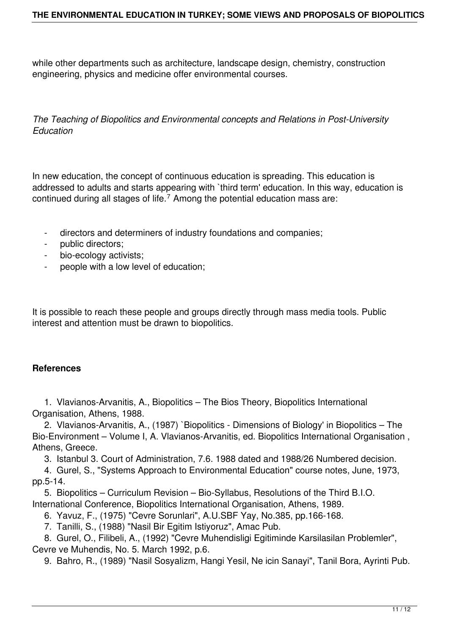while other departments such as architecture, landscape design, chemistry, construction engineering, physics and medicine offer environmental courses.

*The Teaching of Biopolitics and Environmental concepts and Relations in Post-University Education*

In new education, the concept of continuous education is spreading. This education is addressed to adults and starts appearing with `third term' education. In this way, education is continued during all stages of life.<sup>7</sup> Among the potential education mass are:

- directors and determiners of industry foundations and companies;
- public directors;
- bio-ecology activists;
- people with a low level of education;

It is possible to reach these people and groups directly through mass media tools. Public interest and attention must be drawn to biopolitics.

#### **References**

 1. Vlavianos-Arvanitis, A., Biopolitics – The Bios Theory, Biopolitics International Organisation, Athens, 1988.

 2. Vlavianos-Arvanitis, A., (1987) `Biopolitics - Dimensions of Biology' in Biopolitics – The Bio-Environment – Volume I, A. Vlavianos-Arvanitis, ed. Biopolitics International Organisation , Athens, Greece.

3. Istanbul 3. Court of Administration, 7.6. 1988 dated and 1988/26 Numbered decision.

 4. Gurel, S., "Systems Approach to Environmental Education" course notes, June, 1973, pp.5-14.

 5. Biopolitics – Curriculum Revision – Bio-Syllabus, Resolutions of the Third B.I.O. International Conference, Biopolitics International Organisation, Athens, 1989.

6. Yavuz, F., (1975) "Cevre Sorunlari", A.U.SBF Yay, No.385, pp.166-168.

7. Tanilli, S., (1988) "Nasil Bir Egitim Istiyoruz", Amac Pub.

 8. Gurel, O., Filibeli, A., (1992) "Cevre Muhendisligi Egitiminde Karsilasilan Problemler", Cevre ve Muhendis, No. 5. March 1992, p.6.

9. Bahro, R., (1989) "Nasil Sosyalizm, Hangi Yesil, Ne icin Sanayi", Tanil Bora, Ayrinti Pub.